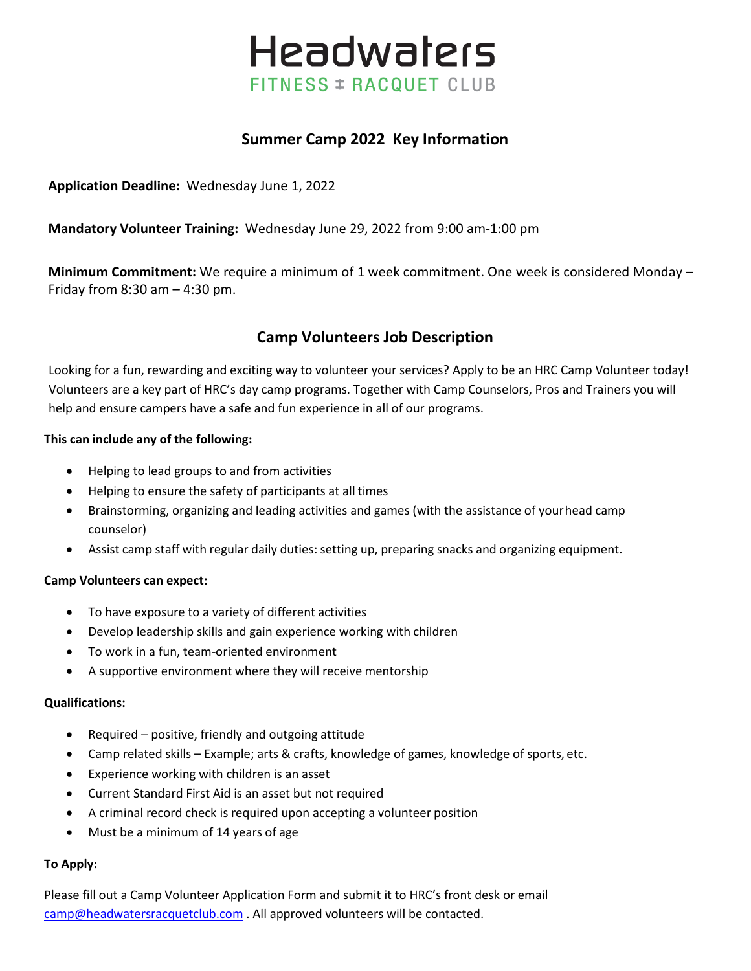# **Headwaters** FITNESS = RACQUET CLUB

# **Summer Camp 2022 Key Information**

**Application Deadline:** Wednesday June 1, 2022

**Mandatory Volunteer Training:** Wednesday June 29, 2022 from 9:00 am-1:00 pm

**Minimum Commitment:** We require a minimum of 1 week commitment. One week is considered Monday – Friday from  $8:30$  am  $-4:30$  pm.

# **Camp Volunteers Job Description**

Looking for a fun, rewarding and exciting way to volunteer your services? Apply to be an HRC Camp Volunteer today! Volunteers are a key part of HRC's day camp programs. Together with Camp Counselors, Pros and Trainers you will help and ensure campers have a safe and fun experience in all of our programs.

#### **This can include any of the following:**

- Helping to lead groups to and from activities
- Helping to ensure the safety of participants at all times
- Brainstorming, organizing and leading activities and games (with the assistance of yourhead camp counselor)
- Assist camp staff with regular daily duties: setting up, preparing snacks and organizing equipment.

### **Camp Volunteers can expect:**

- To have exposure to a variety of different activities
- Develop leadership skills and gain experience working with children
- To work in a fun, team-oriented environment
- A supportive environment where they will receive mentorship

#### **Qualifications:**

- Required positive, friendly and outgoing attitude
- Camp related skills Example; arts & crafts, knowledge of games, knowledge of sports, etc.
- Experience working with children is an asset
- Current Standard First Aid is an asset but not required
- A criminal record check is required upon accepting a volunteer position
- Must be a minimum of 14 years of age

#### **To Apply:**

Please fill out a Camp Volunteer Application Form and submit it to HRC's front desk or email [camp@headwatersracquetclub.com](mailto:camp@headwatersracquetclub.com) . All approved volunteers will be contacted.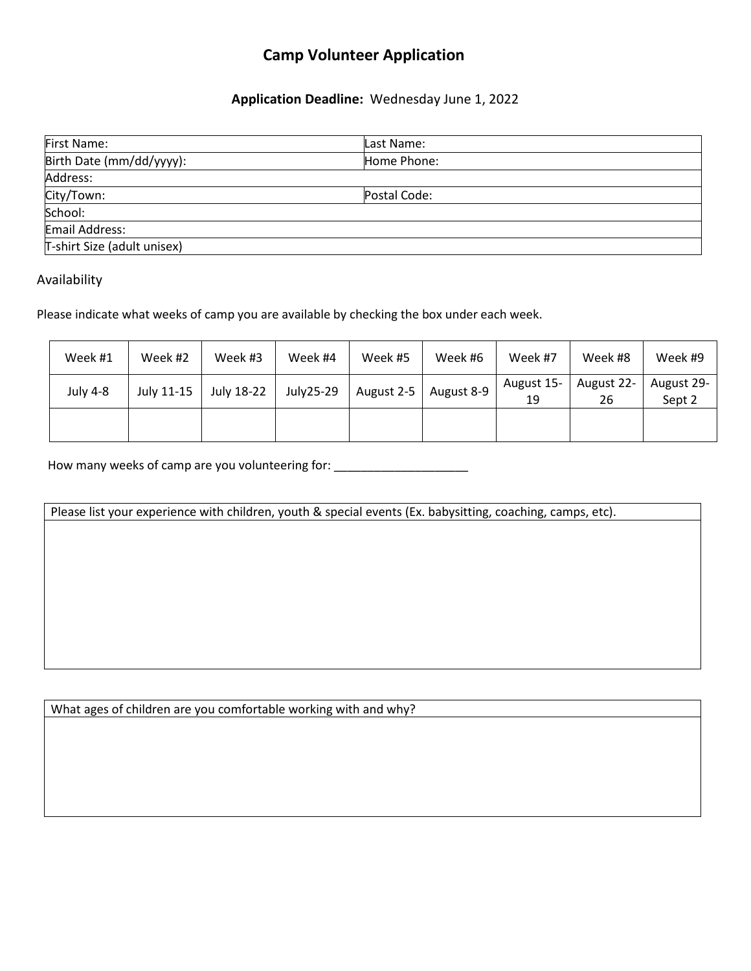# **Camp Volunteer Application**

## **Application Deadline:** Wednesday June 1, 2022

| First Name:                 | lLast Name:  |  |
|-----------------------------|--------------|--|
| Birth Date (mm/dd/yyyy):    | Home Phone:  |  |
| Address:                    |              |  |
| City/Town:                  | Postal Code: |  |
| School:                     |              |  |
| Email Address:              |              |  |
| T-shirt Size (adult unisex) |              |  |

## Availability

Please indicate what weeks of camp you are available by checking the box under each week.

| Week #1  | Week #2    | Week #3    | Week #4   | Week #5    | Week #6    | Week #7          | Week #8          | Week #9              |
|----------|------------|------------|-----------|------------|------------|------------------|------------------|----------------------|
| July 4-8 | July 11-15 | July 18-22 | July25-29 | August 2-5 | August 8-9 | August 15-<br>19 | August 22-<br>26 | August 29-<br>Sept 2 |
|          |            |            |           |            |            |                  |                  |                      |

How many weeks of camp are you volunteering for: \_\_\_\_\_\_\_\_\_\_\_\_\_\_\_\_\_\_\_\_\_\_\_\_\_\_\_\_\_\_\_

Please list your experience with children, youth & special events (Ex. babysitting, coaching, camps, etc).

What ages of children are you comfortable working with and why?